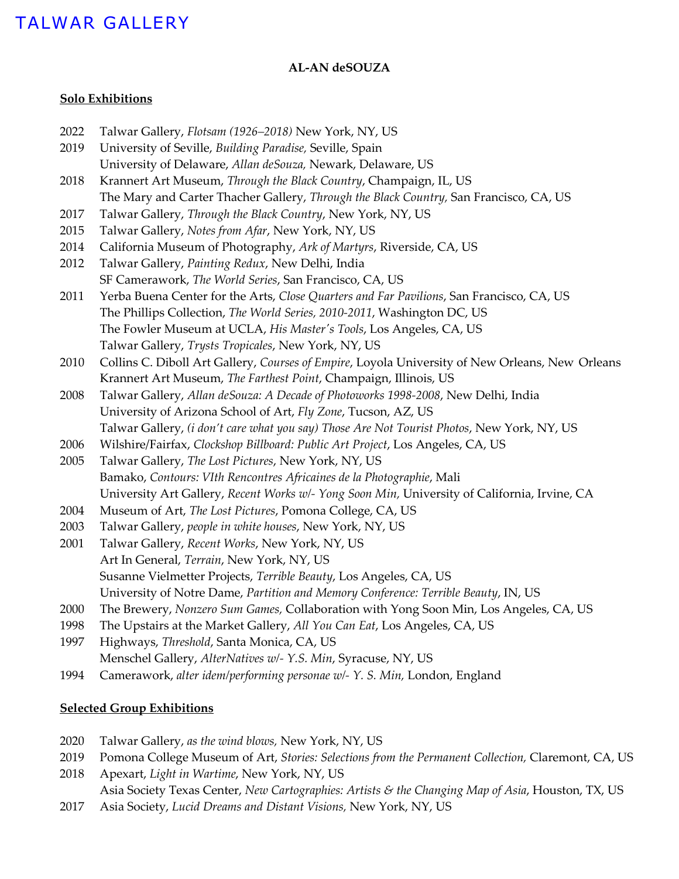#### **AL-AN deSOUZA**

#### **Solo Exhibitions**

| 2022                              | Talwar Gallery, Flotsam (1926-2018) New York, NY, US                                            |  |  |
|-----------------------------------|-------------------------------------------------------------------------------------------------|--|--|
| 2019                              | University of Seville, Building Paradise, Seville, Spain                                        |  |  |
|                                   | University of Delaware, Allan deSouza, Newark, Delaware, US                                     |  |  |
| 2018                              | Krannert Art Museum, Through the Black Country, Champaign, IL, US                               |  |  |
|                                   | The Mary and Carter Thacher Gallery, Through the Black Country, San Francisco, CA, US           |  |  |
| 2017                              | Talwar Gallery, Through the Black Country, New York, NY, US                                     |  |  |
| 2015                              | Talwar Gallery, Notes from Afar, New York, NY, US                                               |  |  |
| 2014                              | California Museum of Photography, Ark of Martyrs, Riverside, CA, US                             |  |  |
| 2012                              | Talwar Gallery, Painting Redux, New Delhi, India                                                |  |  |
|                                   | SF Camerawork, The World Series, San Francisco, CA, US                                          |  |  |
| 2011                              | Yerba Buena Center for the Arts, Close Quarters and Far Pavilions, San Francisco, CA, US        |  |  |
|                                   | The Phillips Collection, The World Series, 2010-2011, Washington DC, US                         |  |  |
|                                   | The Fowler Museum at UCLA, His Master's Tools, Los Angeles, CA, US                              |  |  |
|                                   | Talwar Gallery, Trysts Tropicales, New York, NY, US                                             |  |  |
| 2010                              | Collins C. Diboll Art Gallery, Courses of Empire, Loyola University of New Orleans, New Orleans |  |  |
|                                   | Krannert Art Museum, The Farthest Point, Champaign, Illinois, US                                |  |  |
| 2008                              | Talwar Gallery, Allan deSouza: A Decade of Photoworks 1998-2008, New Delhi, India               |  |  |
|                                   | University of Arizona School of Art, Fly Zone, Tucson, AZ, US                                   |  |  |
|                                   | Talwar Gallery, (i don't care what you say) Those Are Not Tourist Photos, New York, NY, US      |  |  |
| 2006                              | Wilshire/Fairfax, Clockshop Billboard: Public Art Project, Los Angeles, CA, US                  |  |  |
| 2005                              | Talwar Gallery, The Lost Pictures, New York, NY, US                                             |  |  |
|                                   | Bamako, Contours: VIth Rencontres Africaines de la Photographie, Mali                           |  |  |
|                                   | University Art Gallery, Recent Works w/- Yong Soon Min, University of California, Irvine, CA    |  |  |
| 2004                              | Museum of Art, The Lost Pictures, Pomona College, CA, US                                        |  |  |
| 2003                              | Talwar Gallery, people in white houses, New York, NY, US                                        |  |  |
| 2001                              | Talwar Gallery, Recent Works, New York, NY, US                                                  |  |  |
|                                   | Art In General, Terrain, New York, NY, US                                                       |  |  |
|                                   | Susanne Vielmetter Projects, Terrible Beauty, Los Angeles, CA, US                               |  |  |
|                                   | University of Notre Dame, Partition and Memory Conference: Terrible Beauty, IN, US              |  |  |
| 2000                              | The Brewery, Nonzero Sum Games, Collaboration with Yong Soon Min, Los Angeles, CA, US           |  |  |
| 1998                              | The Upstairs at the Market Gallery, All You Can Eat, Los Angeles, CA, US                        |  |  |
| 1997                              | Highways, Threshold, Santa Monica, CA, US                                                       |  |  |
|                                   | Menschel Gallery, AlterNatives w/- Y.S. Min, Syracuse, NY, US                                   |  |  |
| 1994                              | Camerawork, alter idem/performing personae w/- Y. S. Min, London, England                       |  |  |
|                                   |                                                                                                 |  |  |
| <b>Selected Group Exhibitions</b> |                                                                                                 |  |  |

- 2020 Talwar Gallery, *as the wind blows,* New York, NY, US
- 2019 Pomona College Museum of Art, *Stories: Selections from the Permanent Collection*, Claremont, CA, US
- 2018 Apexart, *Light in Wartime*, New York, NY, US Asia Society Texas Center, *New Cartographies: Artists & the Changing Map of Asia*, Houston, TX, US
- 2017 Asia Society, *Lucid Dreams and Distant Visions,* New York, NY, US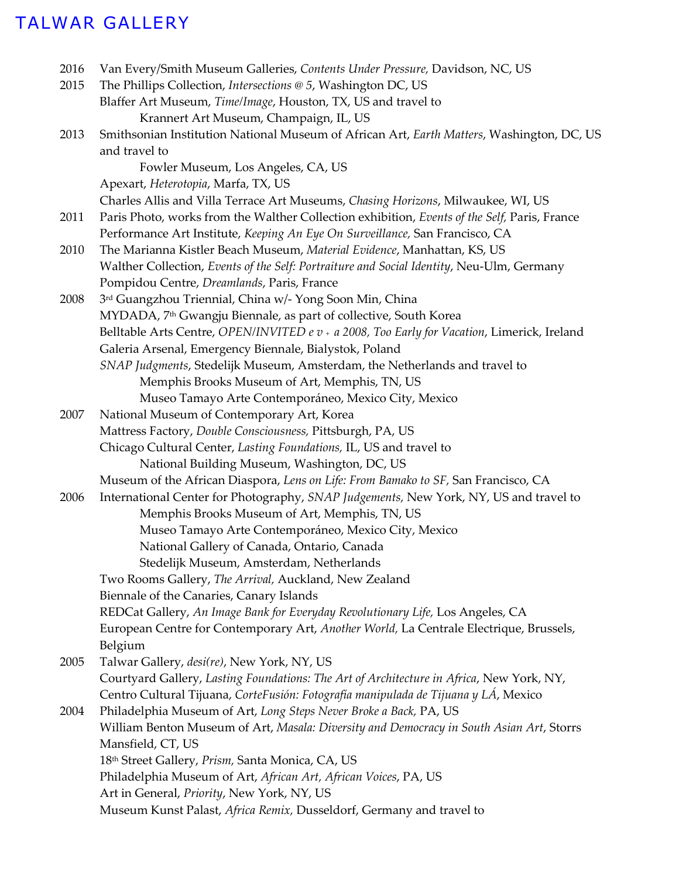| 2016 | Van Every/Smith Museum Galleries, Contents Under Pressure, Davidson, NC, US                  |
|------|----------------------------------------------------------------------------------------------|
| 2015 | The Phillips Collection, Intersections @ 5, Washington DC, US                                |
|      | Blaffer Art Museum, Time/Image, Houston, TX, US and travel to                                |
|      | Krannert Art Museum, Champaign, IL, US                                                       |
| 2013 | Smithsonian Institution National Museum of African Art, Earth Matters, Washington, DC, US    |
|      | and travel to                                                                                |
|      | Fowler Museum, Los Angeles, CA, US                                                           |
|      | Apexart, Heterotopia, Marfa, TX, US                                                          |
|      | Charles Allis and Villa Terrace Art Museums, Chasing Horizons, Milwaukee, WI, US             |
| 2011 | Paris Photo, works from the Walther Collection exhibition, Events of the Self, Paris, France |
|      | Performance Art Institute, Keeping An Eye On Surveillance, San Francisco, CA                 |
| 2010 | The Marianna Kistler Beach Museum, Material Evidence, Manhattan, KS, US                      |
|      | Walther Collection, Events of the Self: Portraiture and Social Identity, Neu-Ulm, Germany    |
|      | Pompidou Centre, Dreamlands, Paris, France                                                   |
| 2008 | 3rd Guangzhou Triennial, China w/- Yong Soon Min, China                                      |
|      | MYDADA, 7 <sup>th</sup> Gwangju Biennale, as part of collective, South Korea                 |
|      | Belltable Arts Centre, OPEN/INVITED e v + a 2008, Too Early for Vacation, Limerick, Ireland  |
|      | Galeria Arsenal, Emergency Biennale, Bialystok, Poland                                       |
|      | SNAP Judgments, Stedelijk Museum, Amsterdam, the Netherlands and travel to                   |
|      | Memphis Brooks Museum of Art, Memphis, TN, US                                                |
|      | Museo Tamayo Arte Contemporáneo, Mexico City, Mexico                                         |
| 2007 | National Museum of Contemporary Art, Korea                                                   |
|      | Mattress Factory, Double Consciousness, Pittsburgh, PA, US                                   |
|      | Chicago Cultural Center, Lasting Foundations, IL, US and travel to                           |
|      | National Building Museum, Washington, DC, US                                                 |
|      | Museum of the African Diaspora, Lens on Life: From Bamako to SF, San Francisco, CA           |
| 2006 | International Center for Photography, SNAP Judgements, New York, NY, US and travel to        |
|      | Memphis Brooks Museum of Art, Memphis, TN, US                                                |
|      | Museo Tamayo Arte Contemporáneo, Mexico City, Mexico                                         |
|      | National Gallery of Canada, Ontario, Canada                                                  |
|      | Stedelijk Museum, Amsterdam, Netherlands                                                     |
|      | Two Rooms Gallery, The Arrival, Auckland, New Zealand                                        |
|      | Biennale of the Canaries, Canary Islands                                                     |
|      | REDCat Gallery, An Image Bank for Everyday Revolutionary Life, Los Angeles, CA               |
|      | European Centre for Contemporary Art, Another World, La Centrale Electrique, Brussels,       |
|      | Belgium                                                                                      |
| 2005 | Talwar Gallery, desi(re), New York, NY, US                                                   |
|      | Courtyard Gallery, Lasting Foundations: The Art of Architecture in Africa, New York, NY,     |
|      | Centro Cultural Tijuana, CorteFusión: Fotografía manipulada de Tijuana y LÁ, Mexico          |
| 2004 | Philadelphia Museum of Art, Long Steps Never Broke a Back, PA, US                            |
|      | William Benton Museum of Art, Masala: Diversity and Democracy in South Asian Art, Storrs     |
|      | Mansfield, CT, US                                                                            |
|      | 18 <sup>th</sup> Street Gallery, Prism, Santa Monica, CA, US                                 |
|      | Philadelphia Museum of Art, African Art, African Voices, PA, US                              |
|      | Art in General, Priority, New York, NY, US                                                   |
|      | Museum Kunst Palast, Africa Remix, Dusseldorf, Germany and travel to                         |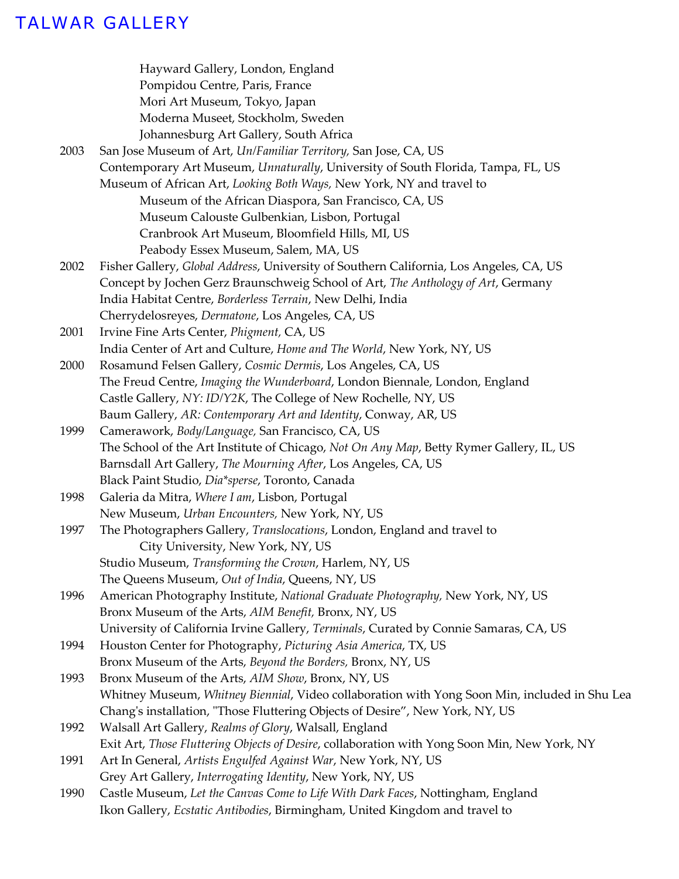|      | Hayward Gallery, London, England                                                              |
|------|-----------------------------------------------------------------------------------------------|
|      | Pompidou Centre, Paris, France                                                                |
|      | Mori Art Museum, Tokyo, Japan                                                                 |
|      | Moderna Museet, Stockholm, Sweden                                                             |
|      | Johannesburg Art Gallery, South Africa                                                        |
| 2003 | San Jose Museum of Art, Un/Familiar Territory, San Jose, CA, US                               |
|      | Contemporary Art Museum, Unnaturally, University of South Florida, Tampa, FL, US              |
|      | Museum of African Art, Looking Both Ways, New York, NY and travel to                          |
|      | Museum of the African Diaspora, San Francisco, CA, US                                         |
|      | Museum Calouste Gulbenkian, Lisbon, Portugal                                                  |
|      | Cranbrook Art Museum, Bloomfield Hills, MI, US                                                |
|      | Peabody Essex Museum, Salem, MA, US                                                           |
| 2002 | Fisher Gallery, Global Address, University of Southern California, Los Angeles, CA, US        |
|      | Concept by Jochen Gerz Braunschweig School of Art, The Anthology of Art, Germany              |
|      | India Habitat Centre, Borderless Terrain, New Delhi, India                                    |
|      |                                                                                               |
|      | Cherrydelosreyes, Dermatone, Los Angeles, CA, US                                              |
| 2001 | Irvine Fine Arts Center, Phigment, CA, US                                                     |
|      | India Center of Art and Culture, Home and The World, New York, NY, US                         |
| 2000 | Rosamund Felsen Gallery, Cosmic Dermis, Los Angeles, CA, US                                   |
|      | The Freud Centre, Imaging the Wunderboard, London Biennale, London, England                   |
|      | Castle Gallery, NY: ID/Y2K, The College of New Rochelle, NY, US                               |
|      | Baum Gallery, AR: Contemporary Art and Identity, Conway, AR, US                               |
| 1999 | Camerawork, Body/Language, San Francisco, CA, US                                              |
|      | The School of the Art Institute of Chicago, Not On Any Map, Betty Rymer Gallery, IL, US       |
|      | Barnsdall Art Gallery, The Mourning After, Los Angeles, CA, US                                |
|      | Black Paint Studio, Dia*sperse, Toronto, Canada                                               |
| 1998 | Galeria da Mitra, Where I am, Lisbon, Portugal                                                |
|      | New Museum, Urban Encounters, New York, NY, US                                                |
| 1997 | The Photographers Gallery, Translocations, London, England and travel to                      |
|      | City University, New York, NY, US                                                             |
|      | Studio Museum, Transforming the Crown, Harlem, NY, US                                         |
|      | The Queens Museum, Out of India, Queens, NY, US                                               |
| 1996 | American Photography Institute, National Graduate Photography, New York, NY, US               |
|      | Bronx Museum of the Arts, AIM Benefit, Bronx, NY, US                                          |
|      | University of California Irvine Gallery, Terminals, Curated by Connie Samaras, CA, US         |
| 1994 | Houston Center for Photography, Picturing Asia America, TX, US                                |
|      | Bronx Museum of the Arts, Beyond the Borders, Bronx, NY, US                                   |
| 1993 | Bronx Museum of the Arts, AIM Show, Bronx, NY, US                                             |
|      | Whitney Museum, Whitney Biennial, Video collaboration with Yong Soon Min, included in Shu Lea |
|      | Chang's installation, "Those Fluttering Objects of Desire", New York, NY, US                  |
| 1992 | Walsall Art Gallery, Realms of Glory, Walsall, England                                        |
|      | Exit Art, Those Fluttering Objects of Desire, collaboration with Yong Soon Min, New York, NY  |
| 1991 | Art In General, Artists Engulfed Against War, New York, NY, US                                |
|      | Grey Art Gallery, Interrogating Identity, New York, NY, US                                    |
| 1990 | Castle Museum, Let the Canvas Come to Life With Dark Faces, Nottingham, England               |
|      | Ikon Gallery, Ecstatic Antibodies, Birmingham, United Kingdom and travel to                   |
|      |                                                                                               |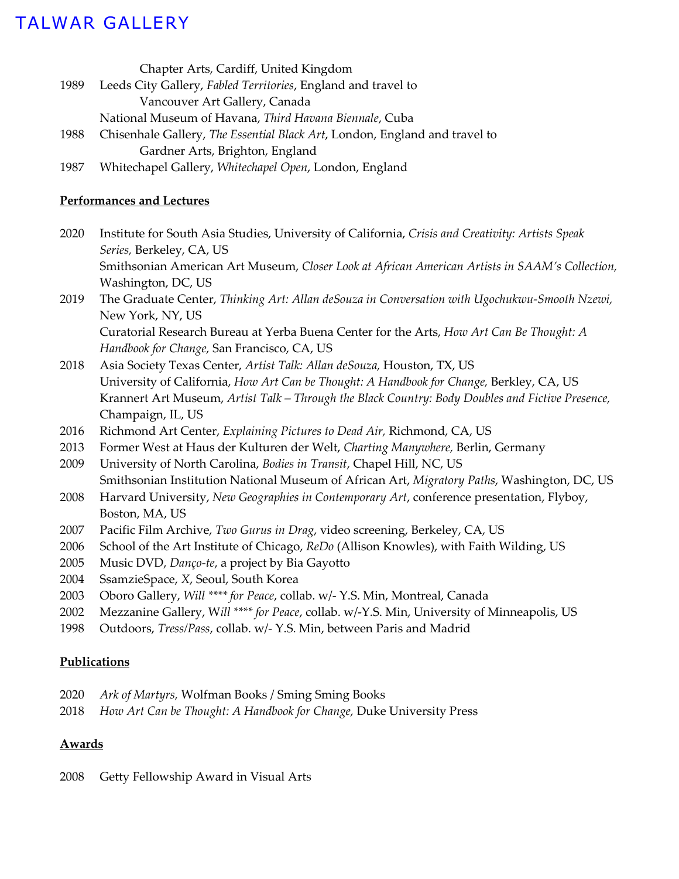Chapter Arts, Cardiff, United Kingdom

- 1989 Leeds City Gallery, *Fabled Territories*, England and travel to
	- Vancouver Art Gallery, Canada
	- National Museum of Havana, *Third Havana Biennale*, Cuba
- 1988 Chisenhale Gallery, *The Essential Black Art*, London, England and travel to Gardner Arts, Brighton, England
- 1987 Whitechapel Gallery, *Whitechapel Open*, London, England

### **Performances and Lectures**

2020 Institute for South Asia Studies, University of California, *Crisis and Creativity: Artists Speak Series,* Berkeley, CA, US

Smithsonian American Art Museum, *Closer Look at African American Artists in SAAM's Collection,*  Washington, DC, US

2019 The Graduate Center, *Thinking Art: Allan deSouza in Conversation with Ugochukwu-Smooth Nzewi,*  New York, NY, US Curatorial Research Bureau at Yerba Buena Center for the Arts, *How Art Can Be Thought: A*

*Handbook for Change,* San Francisco, CA, US

- 2018 Asia Society Texas Center, *Artist Talk: Allan deSouza,* Houston, TX, US University of California, *How Art Can be Thought: A Handbook for Change,* Berkley, CA, US Krannert Art Museum, *Artist Talk – Through the Black Country: Body Doubles and Fictive Presence,*  Champaign, IL, US
- 2016 Richmond Art Center, *Explaining Pictures to Dead Air,* Richmond, CA, US
- 2013 Former West at Haus der Kulturen der Welt, *Charting Manywhere,* Berlin, Germany
- 2009 University of North Carolina, *Bodies in Transit*, Chapel Hill, NC, US Smithsonian Institution National Museum of African Art, *Migratory Paths*, Washington, DC, US
- 2008 Harvard University, *New Geographies in Contemporary Art*, conference presentation, Flyboy, Boston, MA, US
- 2007 Pacific Film Archive, *Two Gurus in Drag*, video screening, Berkeley, CA, US
- 2006 School of the Art Institute of Chicago, *ReDo* (Allison Knowles), with Faith Wilding, US
- 2005 Music DVD, *Danço-te*, a project by Bia Gayotto
- 2004 SsamzieSpace, *X*, Seoul, South Korea
- 2003 Oboro Gallery, *Will \*\*\*\* for Peace*, collab. w/- Y.S. Min, Montreal, Canada
- 2002 Mezzanine Gallery, W*ill \*\*\*\* for Peace*, collab. w/-Y.S. Min, University of Minneapolis, US
- 1998 Outdoors, *Tress/Pass*, collab. w/- Y.S. Min, between Paris and Madrid

### **Publications**

- 2020 *Ark of Martyrs,* Wolfman Books / Sming Sming Books
- 2018 *How Art Can be Thought: A Handbook for Change,* Duke University Press

### **Awards**

2008 Getty Fellowship Award in Visual Arts